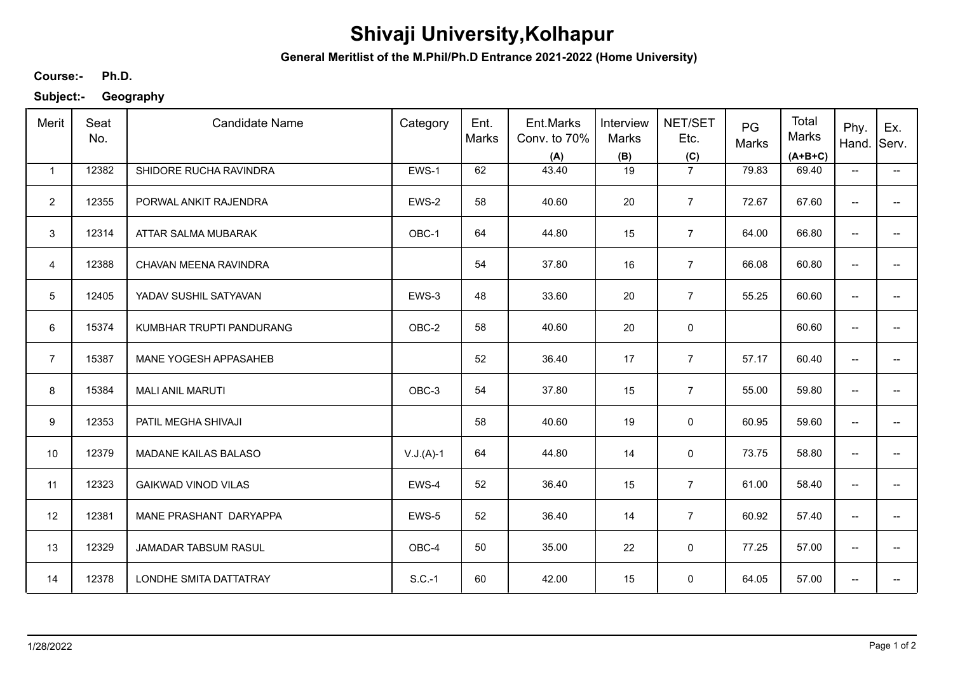## **Shivaji University,Kolhapur**

**General Meritlist of the M.Phil/Ph.D Entrance 2021-2022 (Home University)**

**Ph.D. Course:-**

**Subject:- Geography**

| Merit          | Seat<br>No. | <b>Candidate Name</b>      | Category    | Ent.<br>Marks | Ent.Marks<br>Conv. to 70%<br>(A) | Interview<br><b>Marks</b><br>(B) | NET/SET<br>Etc.<br>(C) | PG<br>Marks | Total<br>Marks<br>$(A+B+C)$ | Phy.<br>Hand.                       | Ex.<br>Serv.             |
|----------------|-------------|----------------------------|-------------|---------------|----------------------------------|----------------------------------|------------------------|-------------|-----------------------------|-------------------------------------|--------------------------|
| $\mathbf{1}$   | 12382       | SHIDORE RUCHA RAVINDRA     | EWS-1       | 62            | 43.40                            | 19                               | $\overline{7}$         | 79.83       | 69.40                       | $\overline{\phantom{a}}$            | $\overline{\phantom{a}}$ |
| $\overline{2}$ | 12355       | PORWAL ANKIT RAJENDRA      | EWS-2       | 58            | 40.60                            | 20                               | $\overline{7}$         | 72.67       | 67.60                       | --                                  |                          |
| 3              | 12314       | ATTAR SALMA MUBARAK        | OBC-1       | 64            | 44.80                            | 15                               | $\overline{7}$         | 64.00       | 66.80                       | --                                  | --                       |
| $\overline{4}$ | 12388       | CHAVAN MEENA RAVINDRA      |             | 54            | 37.80                            | 16                               | $\overline{7}$         | 66.08       | 60.80                       | $\overline{\phantom{a}}$            |                          |
| 5              | 12405       | YADAV SUSHIL SATYAVAN      | EWS-3       | 48            | 33.60                            | 20                               | $\overline{7}$         | 55.25       | 60.60                       | $\overline{\phantom{a}}$            | $\overline{a}$           |
| 6              | 15374       | KUMBHAR TRUPTI PANDURANG   | OBC-2       | 58            | 40.60                            | 20                               | $\mathbf 0$            |             | 60.60                       | $\overline{\phantom{a}}$            | $\overline{a}$           |
| $\overline{7}$ | 15387       | MANE YOGESH APPASAHEB      |             | 52            | 36.40                            | 17                               | $\overline{7}$         | 57.17       | 60.40                       | $\overline{\phantom{a}}$            | $\qquad \qquad -$        |
| 8              | 15384       | <b>MALI ANIL MARUTI</b>    | OBC-3       | 54            | 37.80                            | 15                               | $\overline{7}$         | 55.00       | 59.80                       | $\overline{\phantom{a}}$            |                          |
| 9              | 12353       | PATIL MEGHA SHIVAJI        |             | 58            | 40.60                            | 19                               | $\mathbf 0$            | 60.95       | 59.60                       | $\overline{\phantom{a}}$            | --                       |
| 10             | 12379       | MADANE KAILAS BALASO       | $V.J.(A)-1$ | 64            | 44.80                            | 14                               | 0                      | 73.75       | 58.80                       | $\overline{\phantom{a}}$            | --                       |
| 11             | 12323       | <b>GAIKWAD VINOD VILAS</b> | EWS-4       | 52            | 36.40                            | 15                               | $\overline{7}$         | 61.00       | 58.40                       | $\overline{\phantom{a}}$            | --                       |
| 12             | 12381       | MANE PRASHANT DARYAPPA     | EWS-5       | 52            | 36.40                            | 14                               | $\overline{7}$         | 60.92       | 57.40                       | $\overline{\phantom{a}}$            | $\overline{\phantom{a}}$ |
| 13             | 12329       | JAMADAR TABSUM RASUL       | OBC-4       | 50            | 35.00                            | 22                               | 0                      | 77.25       | 57.00                       | $\overline{\phantom{a}}$            | $\overline{\phantom{a}}$ |
| 14             | 12378       | LONDHE SMITA DATTATRAY     | $S.C.-1$    | 60            | 42.00                            | 15                               | 0                      | 64.05       | 57.00                       | $\hspace{0.05cm}$ $\hspace{0.05cm}$ | --                       |